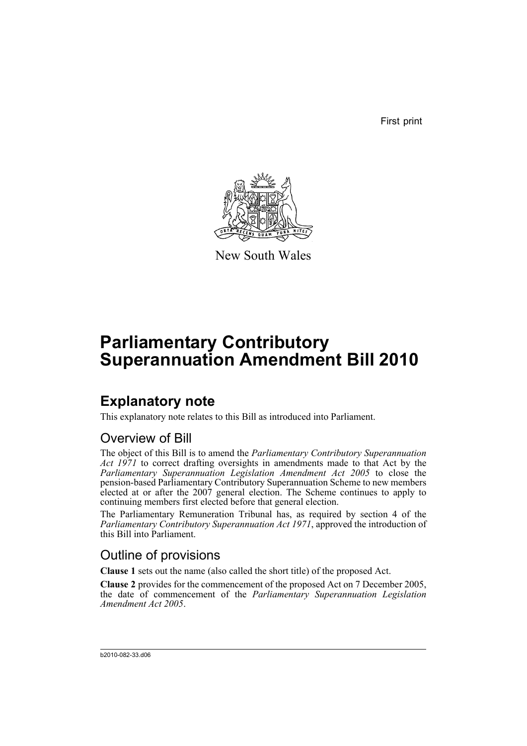First print



New South Wales

# **Parliamentary Contributory Superannuation Amendment Bill 2010**

## **Explanatory note**

This explanatory note relates to this Bill as introduced into Parliament.

### Overview of Bill

The object of this Bill is to amend the *Parliamentary Contributory Superannuation Act 1971* to correct drafting oversights in amendments made to that Act by the *Parliamentary Superannuation Legislation Amendment Act 2005* to close the pension-based Parliamentary Contributory Superannuation Scheme to new members elected at or after the 2007 general election. The Scheme continues to apply to continuing members first elected before that general election.

The Parliamentary Remuneration Tribunal has, as required by section 4 of the *Parliamentary Contributory Superannuation Act 1971*, approved the introduction of this Bill into Parliament.

### Outline of provisions

**Clause 1** sets out the name (also called the short title) of the proposed Act.

**Clause 2** provides for the commencement of the proposed Act on 7 December 2005, the date of commencement of the *Parliamentary Superannuation Legislation Amendment Act 2005*.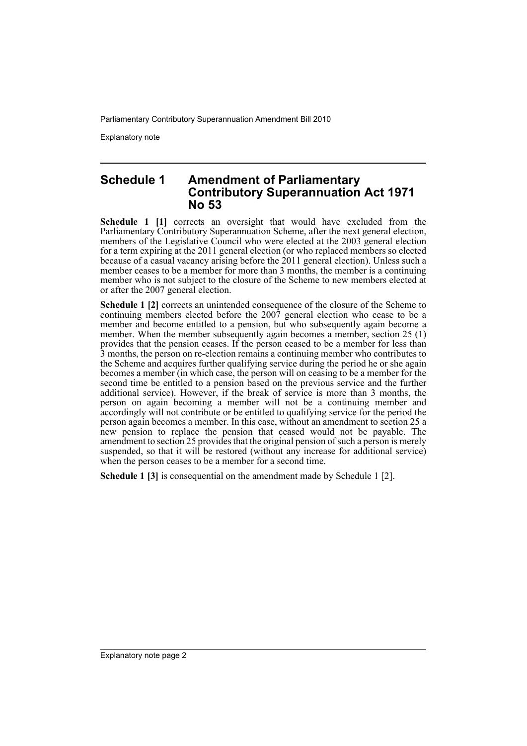Parliamentary Contributory Superannuation Amendment Bill 2010

Explanatory note

#### **Schedule 1 Amendment of Parliamentary Contributory Superannuation Act 1971 No 53**

**Schedule 1 [1]** corrects an oversight that would have excluded from the Parliamentary Contributory Superannuation Scheme, after the next general election, members of the Legislative Council who were elected at the 2003 general election for a term expiring at the 2011 general election (or who replaced members so elected because of a casual vacancy arising before the 2011 general election). Unless such a member ceases to be a member for more than 3 months, the member is a continuing member who is not subject to the closure of the Scheme to new members elected at or after the 2007 general election.

**Schedule 1 [2]** corrects an unintended consequence of the closure of the Scheme to continuing members elected before the 2007 general election who cease to be a member and become entitled to a pension, but who subsequently again become a member. When the member subsequently again becomes a member, section 25 (1) provides that the pension ceases. If the person ceased to be a member for less than 3 months, the person on re-election remains a continuing member who contributes to the Scheme and acquires further qualifying service during the period he or she again becomes a member (in which case, the person will on ceasing to be a member for the second time be entitled to a pension based on the previous service and the further additional service). However, if the break of service is more than 3 months, the person on again becoming a member will not be a continuing member and accordingly will not contribute or be entitled to qualifying service for the period the person again becomes a member. In this case, without an amendment to section 25 a new pension to replace the pension that ceased would not be payable. The amendment to section 25 provides that the original pension of such a person is merely suspended, so that it will be restored (without any increase for additional service) when the person ceases to be a member for a second time.

**Schedule 1 [3]** is consequential on the amendment made by Schedule 1 [2].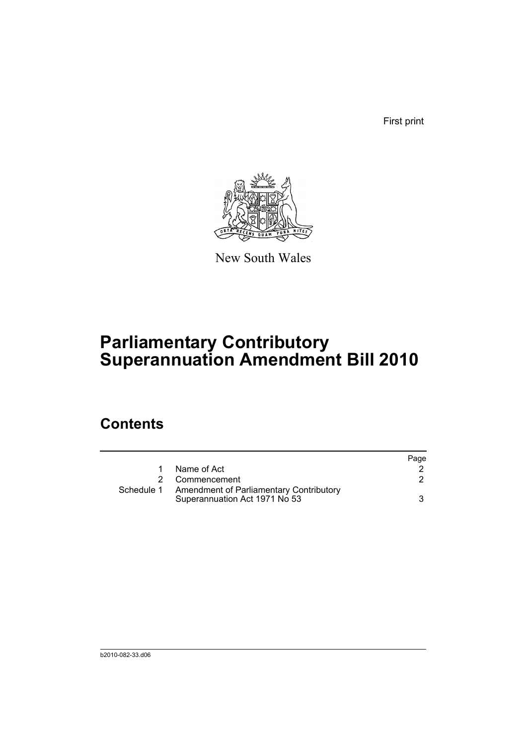First print



New South Wales

# **Parliamentary Contributory Superannuation Amendment Bill 2010**

## **Contents**

|            |                                                                                 | Page |
|------------|---------------------------------------------------------------------------------|------|
|            | Name of Act                                                                     |      |
|            | 2 Commencement                                                                  |      |
| Schedule 1 | <b>Amendment of Parliamentary Contributory</b><br>Superannuation Act 1971 No 53 |      |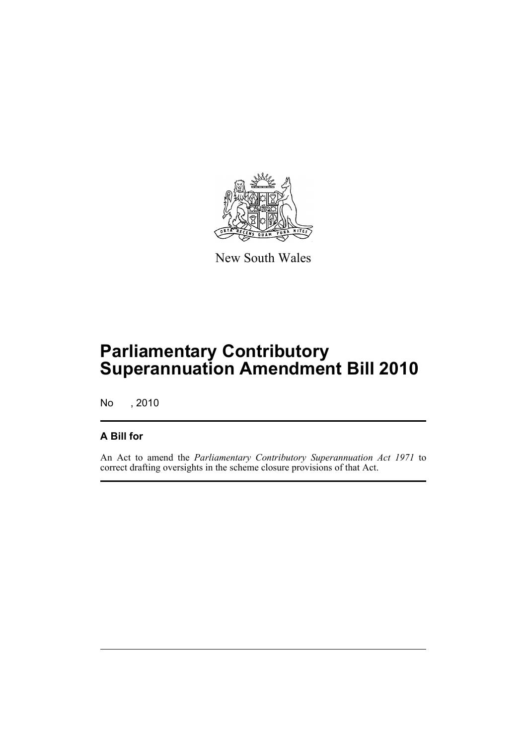

New South Wales

## **Parliamentary Contributory Superannuation Amendment Bill 2010**

No , 2010

#### **A Bill for**

An Act to amend the *Parliamentary Contributory Superannuation Act 1971* to correct drafting oversights in the scheme closure provisions of that Act.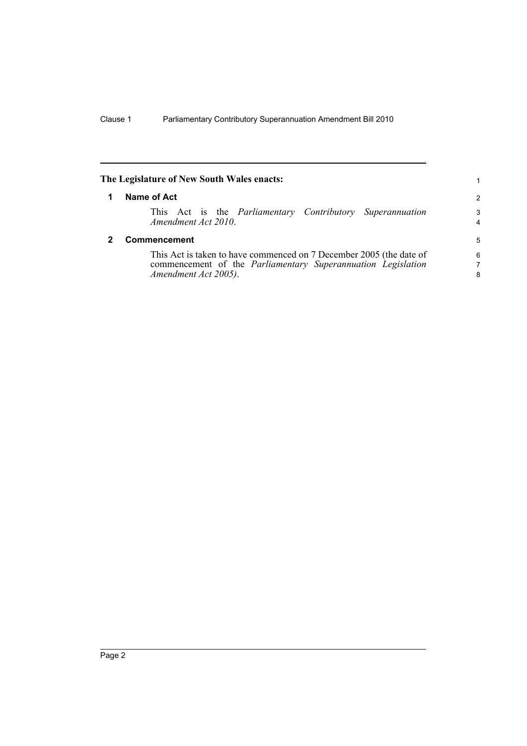<span id="page-5-1"></span><span id="page-5-0"></span>

| The Legislature of New South Wales enacts:                                                                                                                  | 1                   |
|-------------------------------------------------------------------------------------------------------------------------------------------------------------|---------------------|
| Name of Act                                                                                                                                                 | 2                   |
| This Act is the <i>Parliamentary Contributory Superannuation</i><br>Amendment Act 2010.                                                                     | 3<br>$\overline{4}$ |
| <b>Commencement</b>                                                                                                                                         | 5                   |
| This Act is taken to have commenced on 7 December 2005 (the date of<br>commencement of the Parliamentary Superannuation Legislation<br>Amendment Act 2005). | 6<br>7<br>8         |